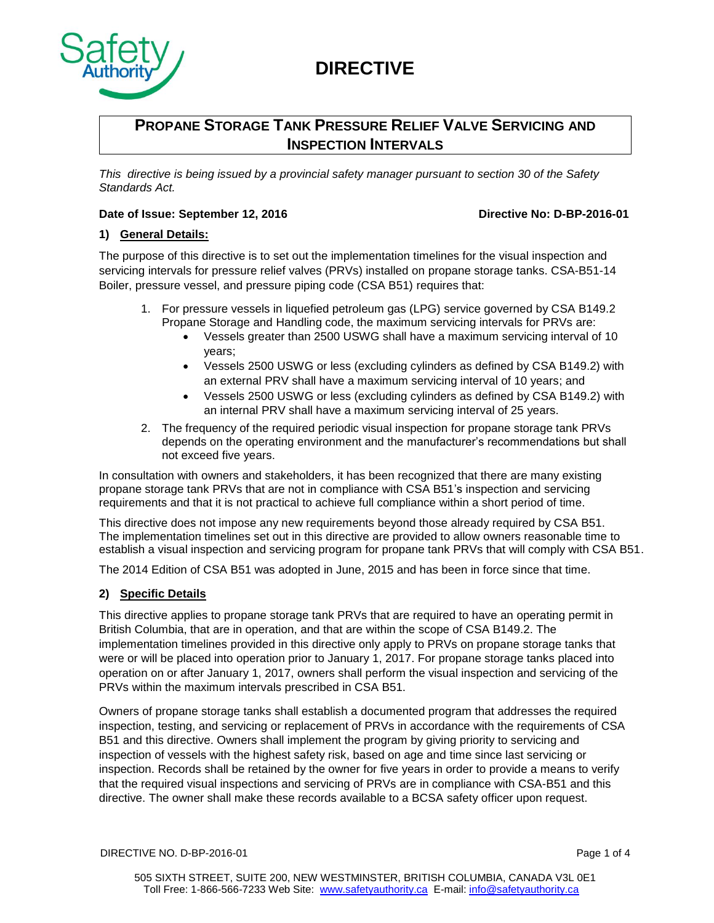

# **PROPANE STORAGE TANK PRESSURE RELIEF VALVE SERVICING AND INSPECTION INTERVALS**

*This directive is being issued by a provincial safety manager pursuant to section 30 of the Safety Standards Act.*

### **Date of Issue: September 12, 2016 Directive No: D-BP-2016-01**

### **1) General Details:**

The purpose of this directive is to set out the implementation timelines for the visual inspection and servicing intervals for pressure relief valves (PRVs) installed on propane storage tanks. CSA-B51-14 Boiler, pressure vessel, and pressure piping code (CSA B51) requires that:

- 1. For pressure vessels in liquefied petroleum gas (LPG) service governed by CSA B149.2 Propane Storage and Handling code, the maximum servicing intervals for PRVs are:
	- Vessels greater than 2500 USWG shall have a maximum servicing interval of 10 years;
	- Vessels 2500 USWG or less (excluding cylinders as defined by CSA B149.2) with an external PRV shall have a maximum servicing interval of 10 years; and
	- Vessels 2500 USWG or less (excluding cylinders as defined by CSA B149.2) with an internal PRV shall have a maximum servicing interval of 25 years.
- 2. The frequency of the required periodic visual inspection for propane storage tank PRVs depends on the operating environment and the manufacturer's recommendations but shall not exceed five years.

In consultation with owners and stakeholders, it has been recognized that there are many existing propane storage tank PRVs that are not in compliance with CSA B51's inspection and servicing requirements and that it is not practical to achieve full compliance within a short period of time.

This directive does not impose any new requirements beyond those already required by CSA B51. The implementation timelines set out in this directive are provided to allow owners reasonable time to establish a visual inspection and servicing program for propane tank PRVs that will comply with CSA B51.

The 2014 Edition of CSA B51 was adopted in June, 2015 and has been in force since that time.

## **2) Specific Details**

This directive applies to propane storage tank PRVs that are required to have an operating permit in British Columbia, that are in operation, and that are within the scope of CSA B149.2. The implementation timelines provided in this directive only apply to PRVs on propane storage tanks that were or will be placed into operation prior to January 1, 2017. For propane storage tanks placed into operation on or after January 1, 2017, owners shall perform the visual inspection and servicing of the PRVs within the maximum intervals prescribed in CSA B51.

Owners of propane storage tanks shall establish a documented program that addresses the required inspection, testing, and servicing or replacement of PRVs in accordance with the requirements of CSA B51 and this directive. Owners shall implement the program by giving priority to servicing and inspection of vessels with the highest safety risk, based on age and time since last servicing or inspection. Records shall be retained by the owner for five years in order to provide a means to verify that the required visual inspections and servicing of PRVs are in compliance with CSA-B51 and this directive. The owner shall make these records available to a BCSA safety officer upon request.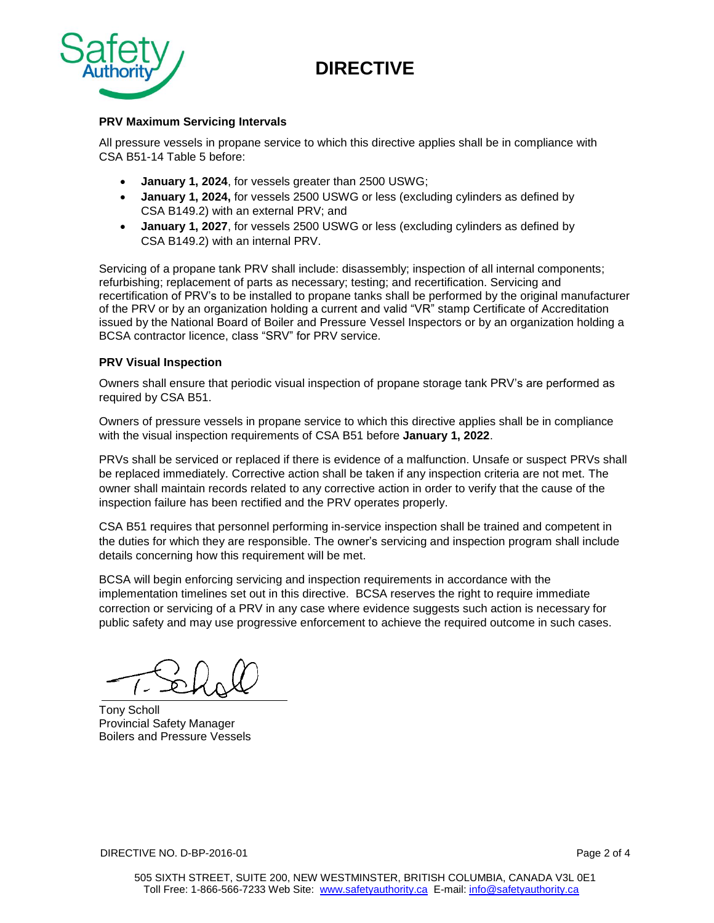

#### **PRV Maximum Servicing Intervals**

All pressure vessels in propane service to which this directive applies shall be in compliance with CSA B51-14 Table 5 before:

- **January 1, 2024**, for vessels greater than 2500 USWG;
- **January 1, 2024,** for vessels 2500 USWG or less (excluding cylinders as defined by CSA B149.2) with an external PRV; and
- **January 1, 2027**, for vessels 2500 USWG or less (excluding cylinders as defined by CSA B149.2) with an internal PRV.

Servicing of a propane tank PRV shall include: disassembly; inspection of all internal components; refurbishing; replacement of parts as necessary; testing; and recertification. Servicing and recertification of PRV's to be installed to propane tanks shall be performed by the original manufacturer of the PRV or by an organization holding a current and valid "VR" stamp Certificate of Accreditation issued by the National Board of Boiler and Pressure Vessel Inspectors or by an organization holding a BCSA contractor licence, class "SRV" for PRV service.

#### **PRV Visual Inspection**

Owners shall ensure that periodic visual inspection of propane storage tank PRV's are performed as required by CSA B51.

Owners of pressure vessels in propane service to which this directive applies shall be in compliance with the visual inspection requirements of CSA B51 before **January 1, 2022**.

PRVs shall be serviced or replaced if there is evidence of a malfunction. Unsafe or suspect PRVs shall be replaced immediately. Corrective action shall be taken if any inspection criteria are not met. The owner shall maintain records related to any corrective action in order to verify that the cause of the inspection failure has been rectified and the PRV operates properly.

CSA B51 requires that personnel performing in-service inspection shall be trained and competent in the duties for which they are responsible. The owner's servicing and inspection program shall include details concerning how this requirement will be met.

BCSA will begin enforcing servicing and inspection requirements in accordance with the implementation timelines set out in this directive. BCSA reserves the right to require immediate correction or servicing of a PRV in any case where evidence suggests such action is necessary for public safety and may use progressive enforcement to achieve the required outcome in such cases.

Tony Scholl Provincial Safety Manager Boilers and Pressure Vessels

DIRECTIVE NO. D-BP-2016-01 Page 2 of 4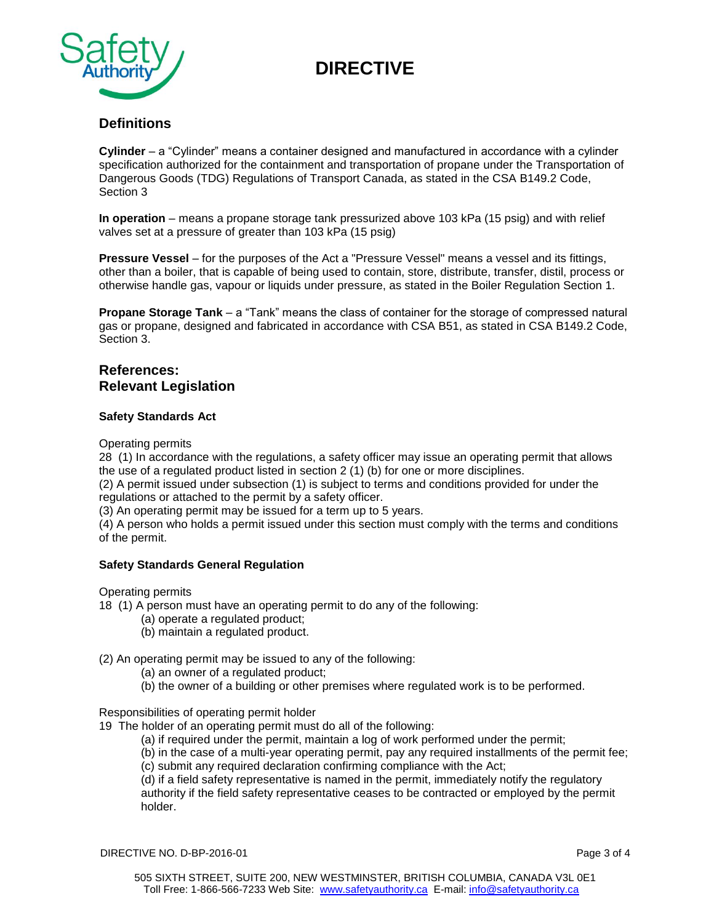

# **Definitions**

**Cylinder** – a "Cylinder" means a container designed and manufactured in accordance with a cylinder specification authorized for the containment and transportation of propane under the Transportation of Dangerous Goods (TDG) Regulations of Transport Canada, as stated in the CSA B149.2 Code, Section 3

**In operation** – means a propane storage tank pressurized above 103 kPa (15 psig) and with relief valves set at a pressure of greater than 103 kPa (15 psig)

**Pressure Vessel** – for the purposes of the Act a "Pressure Vessel" means a vessel and its fittings, other than a boiler, that is capable of being used to contain, store, distribute, transfer, distil, process or otherwise handle gas, vapour or liquids under pressure, as stated in the Boiler Regulation Section 1.

**Propane Storage Tank** – a "Tank" means the class of container for the storage of compressed natural gas or propane, designed and fabricated in accordance with CSA B51, as stated in CSA B149.2 Code, Section 3.

### **References: Relevant Legislation**

#### **Safety Standards Act**

Operating permits

28 (1) In accordance with the regulations, a safety officer may issue an operating permit that allows the use of a regulated product listed in section 2 (1) (b) for one or more disciplines.

(2) A permit issued under subsection (1) is subject to terms and conditions provided for under the regulations or attached to the permit by a safety officer.

(3) An operating permit may be issued for a term up to 5 years.

(4) A person who holds a permit issued under this section must comply with the terms and conditions of the permit.

#### **Safety Standards General Regulation**

Operating permits

- 18 (1) A person must have an operating permit to do any of the following:
	- (a) operate a regulated product;
	- (b) maintain a regulated product.

(2) An operating permit may be issued to any of the following:

- (a) an owner of a regulated product;
- (b) the owner of a building or other premises where regulated work is to be performed.

Responsibilities of operating permit holder

19 The holder of an operating permit must do all of the following:

(a) if required under the permit, maintain a log of work performed under the permit;

(b) in the case of a multi-year operating permit, pay any required installments of the permit fee; (c) submit any required declaration confirming compliance with the Act;

(d) if a field safety representative is named in the permit, immediately notify the regulatory authority if the field safety representative ceases to be contracted or employed by the permit holder.